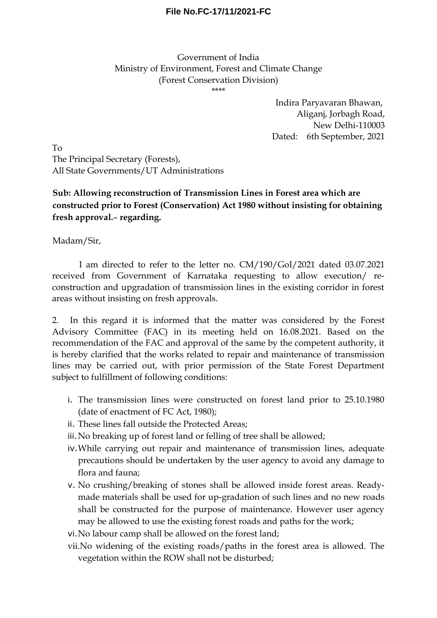## **File No.FC-17/11/2021-FC**

## Government of India Ministry of Environment, Forest and Climate Change (Forest Conservation Division) \*\*\*\*

Indira Paryavaran Bhawan, Aliganj, Jorbagh Road, New Delhi-110003 Dated: 6th September, 2021

To The Principal Secretary (Forests), All State Governments/UT Administrations

## **Sub: Allowing reconstruction of Transmission Lines in Forest area which are constructed prior to Forest (Conservation) Act 1980 without insisting for obtaining fresh approval.**– **regarding.**

Madam/Sir,

I am directed to refer to the letter no. CM/190/GoI/2021 dated 03.07.2021 received from Government of Karnataka requesting to allow execution/ reconstruction and upgradation of transmission lines in the existing corridor in forest areas without insisting on fresh approvals.

2. In this regard it is informed that the matter was considered by the Forest Advisory Committee (FAC) in its meeting held on 16.08.2021. Based on the recommendation of the FAC and approval of the same by the competent authority, it is hereby clarified that the works related to repair and maintenance of transmission lines may be carried out, with prior permission of the State Forest Department subject to fulfillment of following conditions:

- i. The transmission lines were constructed on forest land prior to 25.10.1980 (date of enactment of FC Act, 1980);
- ii. These lines fall outside the Protected Areas;
- iii.No breaking up of forest land or felling of tree shall be allowed;
- iv.While carrying out repair and maintenance of transmission lines, adequate precautions should be undertaken by the user agency to avoid any damage to flora and fauna;
- v. No crushing/breaking of stones shall be allowed inside forest areas. Readymade materials shall be used for up-gradation of such lines and no new roads shall be constructed for the purpose of maintenance. However user agency may be allowed to use the existing forest roads and paths for the work;
- vi.No labour camp shall be allowed on the forest land;
- vii.No widening of the existing roads/paths in the forest area is allowed. The vegetation within the ROW shall not be disturbed;